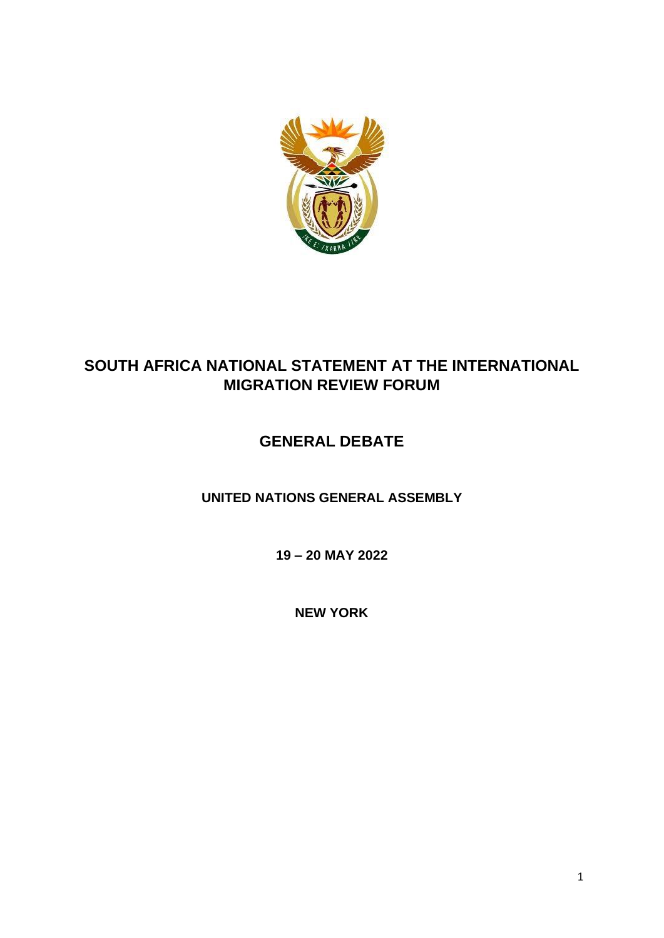

## **SOUTH AFRICA NATIONAL STATEMENT AT THE INTERNATIONAL MIGRATION REVIEW FORUM**

# **GENERAL DEBATE**

**UNITED NATIONS GENERAL ASSEMBLY** 

**19 – 20 MAY 2022**

**NEW YORK**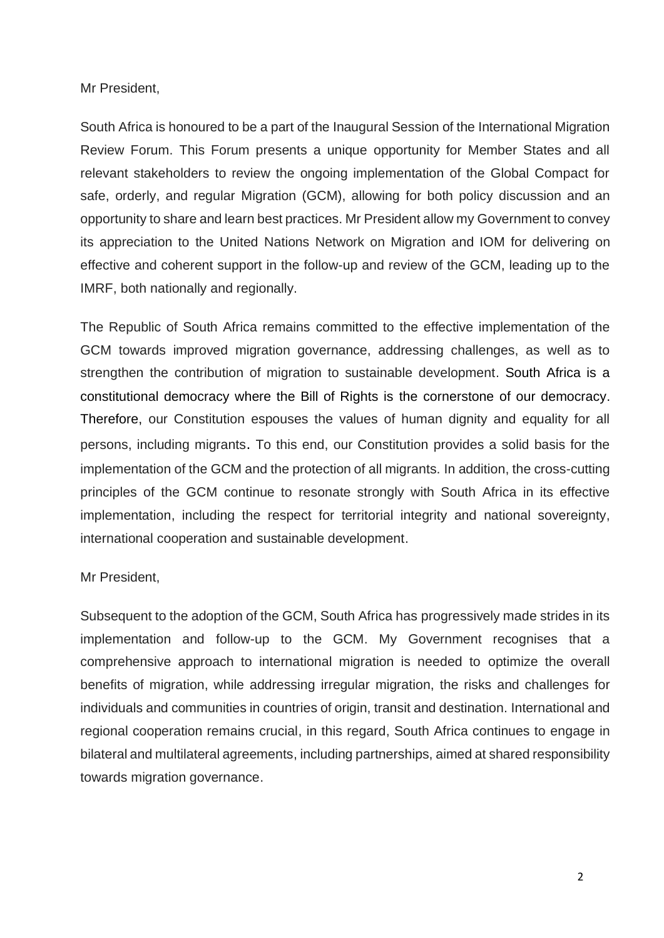Mr President,

South Africa is honoured to be a part of the Inaugural Session of the International Migration Review Forum. This Forum presents a unique opportunity for Member States and all relevant stakeholders to review the ongoing implementation of the Global Compact for safe, orderly, and regular Migration (GCM), allowing for both policy discussion and an opportunity to share and learn best practices. Mr President allow my Government to convey its appreciation to the United Nations Network on Migration and IOM for delivering on effective and coherent support in the follow-up and review of the GCM, leading up to the IMRF, both nationally and regionally.

The Republic of South Africa remains committed to the effective implementation of the GCM towards improved migration governance, addressing challenges, as well as to strengthen the contribution of migration to sustainable development. South Africa is a constitutional democracy where the Bill of Rights is the cornerstone of our democracy. Therefore, our Constitution espouses the values of human dignity and equality for all persons, including migrants. To this end, our Constitution provides a solid basis for the implementation of the GCM and the protection of all migrants. In addition, the cross-cutting principles of the GCM continue to resonate strongly with South Africa in its effective implementation, including the respect for territorial integrity and national sovereignty, international cooperation and sustainable development.

### Mr President,

Subsequent to the adoption of the GCM, South Africa has progressively made strides in its implementation and follow-up to the GCM. My Government recognises that a comprehensive approach to international migration is needed to optimize the overall benefits of migration, while addressing irregular migration, the risks and challenges for individuals and communities in countries of origin, transit and destination. International and regional cooperation remains crucial, in this regard, South Africa continues to engage in bilateral and multilateral agreements, including partnerships, aimed at shared responsibility towards migration governance.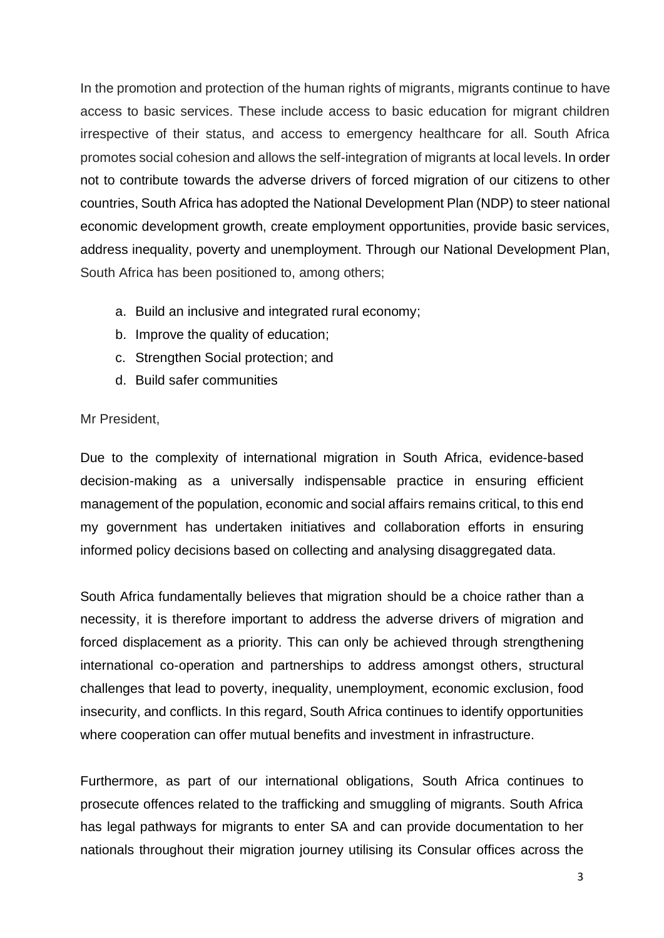In the promotion and protection of the human rights of migrants, migrants continue to have access to basic services. These include access to basic education for migrant children irrespective of their status, and access to emergency healthcare for all. South Africa promotes social cohesion and allows the self-integration of migrants at local levels. In order not to contribute towards the adverse drivers of forced migration of our citizens to other countries, South Africa has adopted the National Development Plan (NDP) to steer national economic development growth, create employment opportunities, provide basic services, address inequality, poverty and unemployment. Through our National Development Plan, South Africa has been positioned to, among others;

- a. Build an inclusive and integrated rural economy;
- b. Improve the quality of education;
- c. Strengthen Social protection; and
- d. Build safer communities

### Mr President,

Due to the complexity of international migration in South Africa, evidence-based decision-making as a universally indispensable practice in ensuring efficient management of the population, economic and social affairs remains critical, to this end my government has undertaken initiatives and collaboration efforts in ensuring informed policy decisions based on collecting and analysing disaggregated data.

South Africa fundamentally believes that migration should be a choice rather than a necessity, it is therefore important to address the adverse drivers of migration and forced displacement as a priority. This can only be achieved through strengthening international co-operation and partnerships to address amongst others, structural challenges that lead to poverty, inequality, unemployment, economic exclusion, food insecurity, and conflicts. In this regard, South Africa continues to identify opportunities where cooperation can offer mutual benefits and investment in infrastructure.

Furthermore, as part of our international obligations, South Africa continues to prosecute offences related to the trafficking and smuggling of migrants. South Africa has legal pathways for migrants to enter SA and can provide documentation to her nationals throughout their migration journey utilising its Consular offices across the